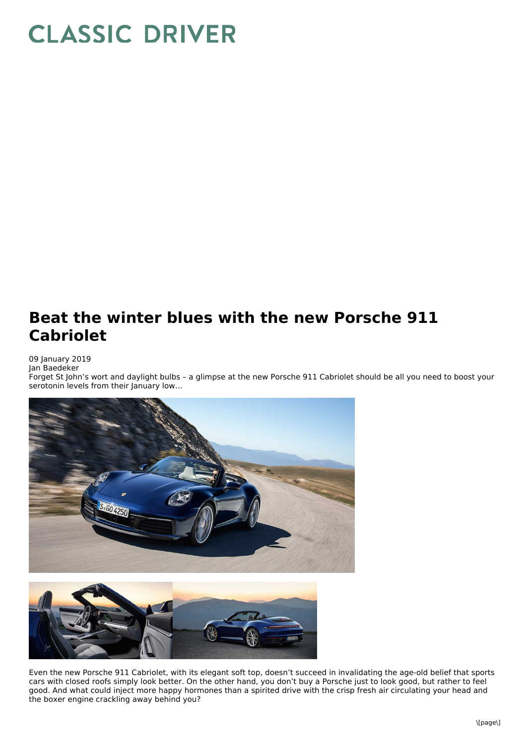## **CLASSIC DRIVER**

## **Beat the winter blues with the new Porsche 911 Cabriolet**

## 09 January 2019

Jan Baedeker

Forget St John's wort and daylight bulbs – a glimpse at the new Porsche 911 Cabriolet should be all you need to boost your serotonin levels from their January low…





Even the new Porsche 911 Cabriolet, with its elegant soft top, doesn't succeed in invalidating the age-old belief that sports cars with closed roofs simply look better. On the other hand, you don't buy a Porsche just to look good, but rather to feel good. And what could inject more happy hormones than a spirited drive with the crisp fresh air circulating your head and the boxer engine crackling away behind you?